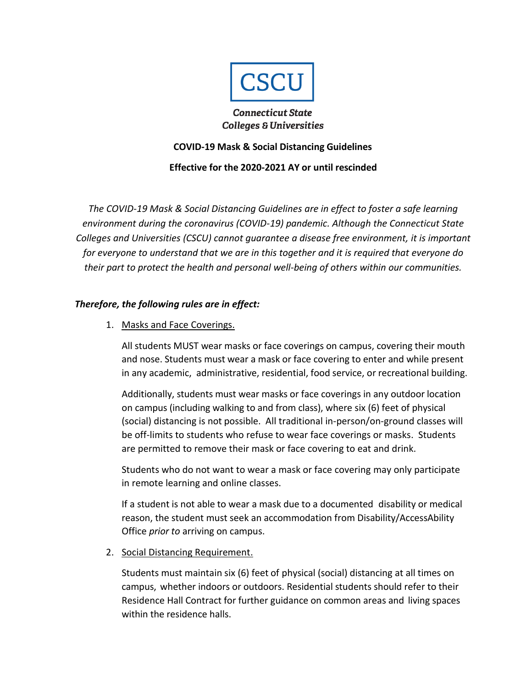

### **Connecticut State Colleges & Universities**

## **COVID-19 Mask & Social Distancing Guidelines**

# **Effective for the 2020-2021 AY or until rescinded**

*The COVID-19 Mask & Social Distancing Guidelines are in effect to foster a safe learning environment during the coronavirus (COVID-19) pandemic. Although the Connecticut State Colleges and Universities (CSCU) cannot guarantee a disease free environment, it is important for everyone to understand that we are in this together and it is required that everyone do their part to protect the health and personal well-being of others within our communities.*

# *Therefore, the following rules are in effect:*

1. Masks and Face Coverings.

All students MUST wear masks or face coverings on campus, covering their mouth and nose. Students must wear a mask or face covering to enter and while present in any academic, administrative, residential, food service, or recreational building.

Additionally, students must wear masks or face coverings in any outdoor location on campus (including walking to and from class), where six (6) feet of physical (social) distancing is not possible. All traditional in-person/on-ground classes will be off-limits to students who refuse to wear face coverings or masks. Students are permitted to remove their mask or face covering to eat and drink.

Students who do not want to wear a mask or face covering may only participate in remote learning and online classes.

If a student is not able to wear a mask due to a documented disability or medical reason, the student must seek an accommodation from Disability/AccessAbility Office *prior to* arriving on campus.

2. Social Distancing Requirement.

Students must maintain six (6) feet of physical (social) distancing at all times on campus, whether indoors or outdoors. Residential students should refer to their Residence Hall Contract for further guidance on common areas and living spaces within the residence halls.